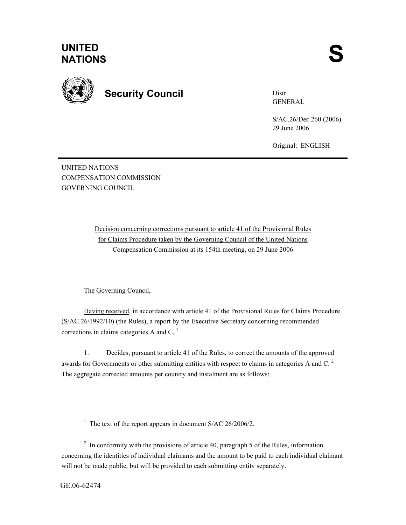

**Security Council** 

Distr. GENERAL

S/AC.26/Dec.260 (2006) 29 June 2006

Original: ENGLISH

UNITED NATIONS COMPENSATION COMMISSION GOVERNING COUNCIL

> Decision concerning corrections pursuant to article 41 of the Provisional Rules for Claims Procedure taken by the Governing Council of the United Nations Compensation Commission at its 154th meeting, on 29 June 2006

#### The Governing Council,

Having received, in accordance with article 41 of the Provisional Rules for Claims Procedure (S/AC.26/1992/10) (the Rules), a report by the Executive Secretary concerning recommended corrections in claims categories A and  $C<sub>1</sub><sup>1</sup>$ 

1. Decides, pursuant to article 41 of the Rules, to correct the amounts of the approved awards for Governments or other submitting entities with respect to claims in categories A and C.<sup>2</sup> The aggregate corrected amounts per country and instalment are as follows:

l

<sup>&</sup>lt;sup>1</sup> The text of the report appears in document  $S/AC.26/2006/2$ .

 $2 \text{ In arbitrary with the provisions of article } 40$ , paragraph 5 of the Rules, information concerning the identities of individual claimants and the amount to be paid to each individual claimant will not be made public, but will be provided to each submitting entity separately.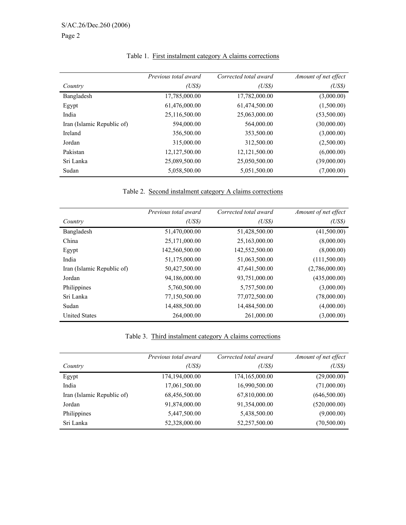|                            | Previous total award | Corrected total award | Amount of net effect |
|----------------------------|----------------------|-----------------------|----------------------|
| Country                    | (USS)                | (USS)                 | (USS)                |
| Bangladesh                 | 17,785,000.00        | 17,782,000.00         | (3,000.00)           |
| Egypt                      | 61,476,000.00        | 61,474,500.00         | (1,500.00)           |
| India                      | 25,116,500.00        | 25,063,000.00         | (53,500.00)          |
| Iran (Islamic Republic of) | 594,000.00           | 564,000.00            | (30,000.00)          |
| Ireland                    | 356,500.00           | 353,500.00            | (3,000.00)           |
| Jordan                     | 315,000.00           | 312,500.00            | (2,500.00)           |
| Pakistan                   | 12,127,500.00        | 12,121,500.00         | (6,000.00)           |
| Sri Lanka                  | 25,089,500.00        | 25,050,500.00         | (39,000.00)          |
| Sudan                      | 5,058,500.00         | 5,051,500.00          | (7,000.00)           |

# Table 1. First instalment category A claims corrections

# Table 2. Second instalment category A claims corrections

|                            | Previous total award | Corrected total award | Amount of net effect |
|----------------------------|----------------------|-----------------------|----------------------|
| Country                    | (USS)                | (USS)                 | (USS)                |
| Bangladesh                 | 51,470,000.00        | 51,428,500.00         | (41,500.00)          |
| China                      | 25,171,000.00        | 25,163,000.00         | (8,000.00)           |
| Egypt                      | 142,560,500.00       | 142,552,500.00        | (8,000.00)           |
| India                      | 51,175,000.00        | 51,063,500.00         | (111,500.00)         |
| Iran (Islamic Republic of) | 50,427,500.00        | 47,641,500.00         | (2,786,000.00)       |
| Jordan                     | 94,186,000.00        | 93,751,000.00         | (435,000.00)         |
| Philippines                | 5,760,500.00         | 5,757,500.00          | (3,000.00)           |
| Sri Lanka                  | 77,150,500.00        | 77,072,500.00         | (78,000.00)          |
| Sudan                      | 14,488,500.00        | 14,484,500.00         | (4,000.00)           |
| <b>United States</b>       | 264,000.00           | 261,000.00            | (3,000.00)           |

### Table 3. Third instalment category A claims corrections

|                            | Previous total award | Corrected total award | Amount of net effect |
|----------------------------|----------------------|-----------------------|----------------------|
| Country                    | (US\$)               | (US\$)                | (USS)                |
| Egypt                      | 174,194,000.00       | 174,165,000.00        | (29,000.00)          |
| India                      | 17,061,500.00        | 16,990,500.00         | (71,000.00)          |
| Iran (Islamic Republic of) | 68,456,500.00        | 67,810,000.00         | (646,500.00)         |
| Jordan                     | 91,874,000.00        | 91,354,000.00         | (520,000.00)         |
| Philippines                | 5,447,500.00         | 5,438,500.00          | (9,000.00)           |
| Sri Lanka                  | 52,328,000.00        | 52,257,500.00         | (70,500.00)          |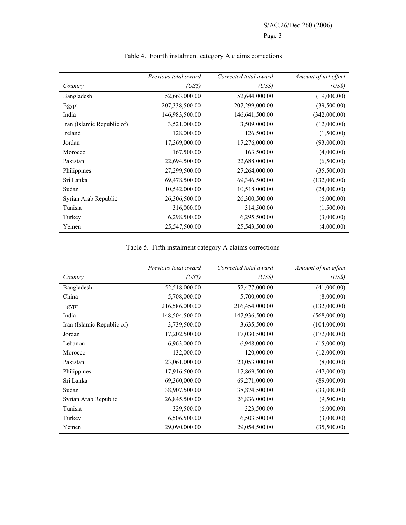|                            | Previous total award | Corrected total award | Amount of net effect |
|----------------------------|----------------------|-----------------------|----------------------|
| Country                    | (US\$)               | (USS)                 | (USS)                |
| Bangladesh                 | 52,663,000.00        | 52,644,000.00         | (19,000.00)          |
| Egypt                      | 207,338,500.00       | 207,299,000.00        | (39,500.00)          |
| India                      | 146,983,500.00       | 146,641,500.00        | (342,000.00)         |
| Iran (Islamic Republic of) | 3,521,000.00         | 3,509,000.00          | (12,000.00)          |
| Ireland                    | 128,000.00           | 126,500.00            | (1,500.00)           |
| Jordan                     | 17,369,000.00        | 17,276,000.00         | (93,000.00)          |
| Morocco                    | 167,500.00           | 163,500.00            | (4,000.00)           |
| Pakistan                   | 22,694,500.00        | 22,688,000.00         | (6,500.00)           |
| Philippines                | 27,299,500.00        | 27,264,000.00         | (35,500.00)          |
| Sri Lanka                  | 69,478,500.00        | 69,346,500.00         | (132,000.00)         |
| Sudan                      | 10,542,000.00        | 10,518,000.00         | (24,000.00)          |
| Syrian Arab Republic       | 26,306,500.00        | 26,300,500.00         | (6,000.00)           |
| Tunisia                    | 316,000.00           | 314,500.00            | (1,500.00)           |
| Turkey                     | 6,298,500.00         | 6,295,500.00          | (3,000.00)           |
| Yemen                      | 25,547,500.00        | 25,543,500.00         | (4,000.00)           |

## Table 4. Fourth instalment category A claims corrections

#### Table 5. Fifth instalment category A claims corrections

|                            | Previous total award | Corrected total award | Amount of net effect |
|----------------------------|----------------------|-----------------------|----------------------|
| Country                    | (USS)                | (USS)                 | (USS)                |
| Bangladesh                 | 52,518,000.00        | 52,477,000.00         | (41,000.00)          |
| China                      | 5,708,000.00         | 5,700,000.00          | (8,000.00)           |
| Egypt                      | 216,586,000.00       | 216,454,000.00        | (132,000.00)         |
| India                      | 148,504,500.00       | 147,936,500.00        | (568,000.00)         |
| Iran (Islamic Republic of) | 3,739,500.00         | 3,635,500.00          | (104,000.00)         |
| Jordan                     | 17,202,500.00        | 17,030,500.00         | (172,000.00)         |
| Lebanon                    | 6,963,000.00         | 6,948,000.00          | (15,000.00)          |
| Morocco                    | 132,000.00           | 120,000.00            | (12,000.00)          |
| Pakistan                   | 23,061,000.00        | 23,053,000.00         | (8,000.00)           |
| Philippines                | 17,916,500.00        | 17,869,500.00         | (47,000.00)          |
| Sri Lanka                  | 69,360,000.00        | 69,271,000.00         | (89,000.00)          |
| Sudan                      | 38,907,500.00        | 38,874,500.00         | (33,000.00)          |
| Syrian Arab Republic       | 26,845,500.00        | 26,836,000.00         | (9,500.00)           |
| Tunisia                    | 329,500.00           | 323,500.00            | (6,000.00)           |
| Turkey                     | 6,506,500.00         | 6,503,500.00          | (3,000.00)           |
| Yemen                      | 29,090,000.00        | 29,054,500.00         | (35,500.00)          |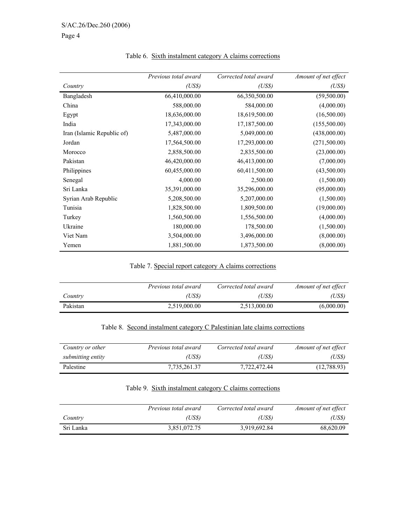|                            | Previous total award | Corrected total award | Amount of net effect |
|----------------------------|----------------------|-----------------------|----------------------|
| Country                    | (USS)                | (USS)                 | (USS)                |
| Bangladesh                 | 66,410,000.00        | 66,350,500.00         | (59,500.00)          |
| China                      | 588,000.00           | 584,000.00            | (4,000.00)           |
| Egypt                      | 18,636,000.00        | 18,619,500.00         | (16,500.00)          |
| India                      | 17,343,000.00        | 17,187,500.00         | (155,500.00)         |
| Iran (Islamic Republic of) | 5,487,000.00         | 5,049,000.00          | (438,000.00)         |
| Jordan                     | 17,564,500.00        | 17,293,000.00         | (271, 500.00)        |
| Morocco                    | 2,858,500.00         | 2,835,500.00          | (23,000.00)          |
| Pakistan                   | 46,420,000.00        | 46,413,000.00         | (7,000.00)           |
| Philippines                | 60,455,000.00        | 60,411,500.00         | (43,500.00)          |
| Senegal                    | 4,000.00             | 2,500.00              | (1,500.00)           |
| Sri Lanka                  | 35,391,000.00        | 35,296,000.00         | (95,000.00)          |
| Syrian Arab Republic       | 5,208,500.00         | 5,207,000.00          | (1,500.00)           |
| Tunisia                    | 1,828,500.00         | 1,809,500.00          | (19,000.00)          |
| Turkey                     | 1,560,500.00         | 1,556,500.00          | (4,000.00)           |
| Ukraine                    | 180,000.00           | 178,500.00            | (1,500.00)           |
| Viet Nam                   | 3,504,000.00         | 3,496,000.00          | (8,000.00)           |
| Yemen                      | 1,881,500.00         | 1,873,500.00          | (8,000.00)           |

### Table 6. Sixth instalment category A claims corrections

#### Table 7. Special report category A claims corrections

|          | <i>Previous total award</i> | Corrected total award | Amount of net effect |
|----------|-----------------------------|-----------------------|----------------------|
| Country  | (US\$)                      | (US\$)                | (US\$)               |
| Pakistan | 2,519,000.00                | 2,513,000.00          | (6,000.00)           |

#### Table 8. Second instalment category C Palestinian late claims corrections

| Country or other  | Previous total award | Corrected total award | Amount of net effect |
|-------------------|----------------------|-----------------------|----------------------|
| submitting entity | (US\$)               | (USS)                 | (USS)                |
| Palestine         | 7.735.261.37         | 7,722,472.44          | (12,788.93)          |

### Table 9. Sixth instalment category C claims corrections

|           | Previous total award | Corrected total award | Amount of net effect |
|-----------|----------------------|-----------------------|----------------------|
| Country   | (US\$)               | (USS)                 | (USS)                |
| Sri Lanka | 3,851,072.75         | 3,919,692.84          | 68,620.09            |